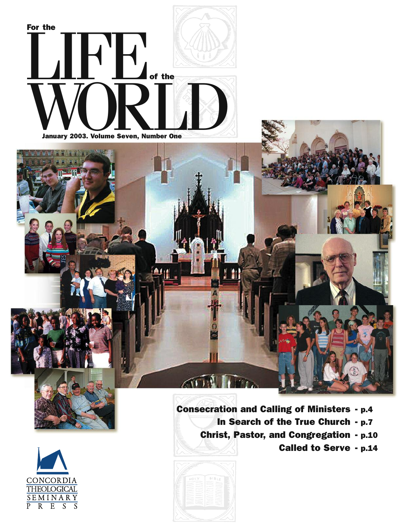



**Consecration and Calling of Ministers - p.4 In Search of the True Church - p.7 Christ, Pastor, and Congregation - p.10 Called to Serve - p.14**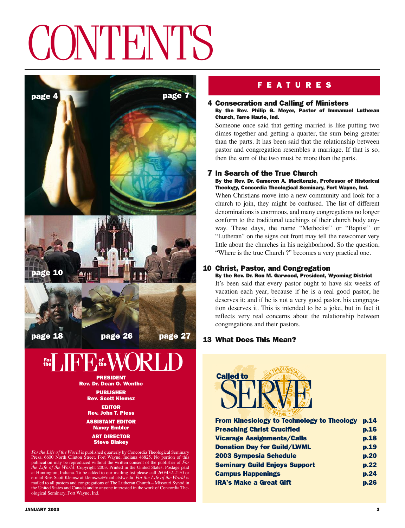# **CONTENTS**



mailed to all pastors and congregations of The Lutheran Church—Missouri Synod in the United States and Canada and to anyone interested in the work of Concordia The-

# **F E A T U R E S**

## **4 Consecration and Calling of Ministers**

## **By the Rev. Philip G. Meyer, Pastor of Immanuel Lutheran Church, Terre Haute, Ind.**

Someone once said that getting married is like putting two dimes together and getting a quarter, the sum being greater than the parts. It has been said that the relationship between pastor and congregation resembles a marriage. If that is so, then the sum of the two must be more than the parts.

## **7 In Search of the True Church**

**By the Rev. Dr. Cameron A. MacKenzie, Professor of Historical Theology, Concordia Theological Seminary, Fort Wayne, Ind.**

When Christians move into a new community and look for a church to join, they might be confused. The list of different denominations is enormous, and many congregations no longer conform to the traditional teachings of their church body anyway. These days, the name "Methodist" or "Baptist" or "Lutheran" on the signs out front may tell the newcomer very little about the churches in his neighborhood. So the question, "Where is the true Church ?" becomes a very practical one.

## **10 Christ, Pastor, and Congregation**

**By the Rev. Dr. Ron M. Garwood, President, Wyoming District** It's been said that every pastor ought to have six weeks of vacation each year, because if he is a real good pastor, he deserves it; and if he is not a very good pastor, his congregation deserves it. This is intended to be a joke, but in fact it reflects very real concerns about the relationship between congregations and their pastors.

## **13 What Does This Mean?**



| p.14   |
|--------|
| p.16   |
| p.18   |
| p.19   |
| p.20   |
| p.22   |
| p.24   |
| $D.26$ |
|        |

ological Seminary, Fort Wayne, Ind.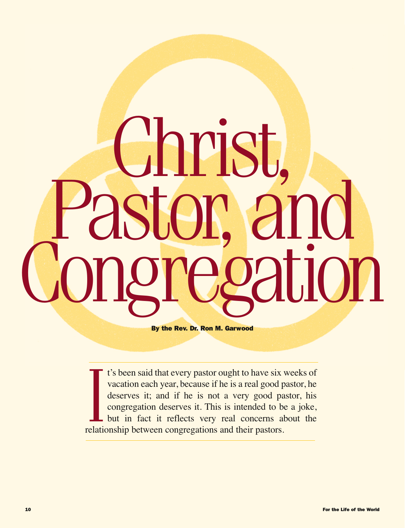# Christ,<br>Castor, and<br>Congregation

**By the Rev. Dr. Ron M. Garwood**

It's been said that every pastor ought to have six<br>vacation each year, because if he is a real good p<br>deserves it; and if he is not a very good pa<br>congregation deserves it. This is intended to b<br>but in fact it reflects ver t's been said that every pastor ought to have six weeks of vacation each year, because if he is a real good pastor, he deserves it; and if he is not a very good pastor, his congregation deserves it. This is intended to be a joke, but in fact it reflects very real concerns about the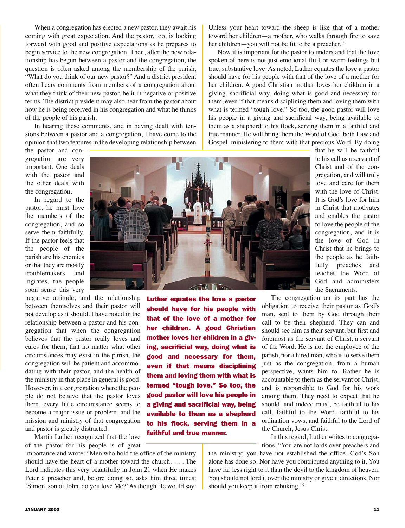When a congregation has elected a new pastor, they await his coming with great expectation. And the pastor, too, is looking forward with good and positive expectations as he prepares to begin service to the new congregation. Then, after the new relationship has begun between a pastor and the congregation, the question is often asked among the membership of the parish, "What do you think of our new pastor?" And a district president often hears comments from members of a congregation about what they think of their new pastor, be it in negative or positive terms. The district president may also hear from the pastor about how he is being received in his congregation and what he thinks of the people of his parish.

In hearing these comments, and in having dealt with tensions between a pastor and a congregation, I have come to the opinion that two features in the developing relationship between

the pastor and congregation are very important. One deals with the pastor and the other deals with the congregation.

In regard to the pastor, he must love the members of the congregation, and so serve them faithfully. If the pastor feels that the people of the parish are his enemies or that they are mostly troublemakers and ingrates, the people soon sense this very

negative attitude, and the relationship between themselves and their pastor will not develop as it should. I have noted in the relationship between a pastor and his congregation that when the congregation believes that the pastor really loves and cares for them, that no matter what other circumstances may exist in the parish, the congregation will be patient and accommodating with their pastor, and the health of the ministry in that place in general is good. However, in a congregation where the people do not believe that the pastor loves them, every little circumstance seems to become a major issue or problem, and the mission and ministry of that congregation and pastor is greatly distracted.

Martin Luther recognized that the love of the pastor for his people is of great

importance and wrote: "Men who hold the office of the ministry should have the heart of a mother toward the church; . . . The Lord indicates this very beautifully in John 21 when He makes Peter a preacher and, before doing so, asks him three times: 'Simon, son of John, do you love Me?'As though He would say: Unless your heart toward the sheep is like that of a mother toward her children—a mother, who walks through fire to save her children—you will not be fit to be a preacher."<sup>1</sup>

Now it is important for the pastor to understand that the love spoken of here is not just emotional fluff or warm feelings but true, substantive love. As noted, Luther equates the love a pastor should have for his people with that of the love of a mother for her children. A good Christian mother loves her children in a giving, sacrificial way, doing what is good and necessary for them, even if that means disciplining them and loving them with what is termed "tough love." So too, the good pastor will love his people in a giving and sacrificial way, being available to them as a shepherd to his flock, serving them in a faithful and true manner. He will bring them the Word of God, both Law and Gospel, ministering to them with that precious Word. By doing

> that he will be faithful to his call as a servant of Christ and of the congregation, and will truly love and care for them with the love of Christ. It is God's love for him in Christ that motivates and enables the pastor to love the people of the congregation, and it is the love of God in Christ that he brings to the people as he faithfully preaches and teaches the Word of God and administers the Sacraments.

The congregation on its part has the obligation to receive their pastor as God's man, sent to them by God through their call to be their shepherd. They can and should see him as their servant, but first and foremost as the servant of Christ, a servant of the Word. He is not the employee of the parish, nor a hired man, who is to serve them just as the congregation, from a human perspective, wants him to. Rather he is accountable to them as the servant of Christ, and is responsible to God for his work among them. They need to expect that he should, and indeed must, be faithful to his call, faithful to the Word, faithful to his ordination vows, and faithful to the Lord of the Church, Jesus Christ. **Luther equates the love a pastor should have for his people with that of the love of a mother for her children. A good Christian mother loves her children in a giving, sacrificial way, doing what is good and necessary for them, even if that means disciplining them and loving them with what is termed "tough love." So too, the good pastor will love his people in a giving and sacrificial way, being available to them as a shepherd to his flock, serving them in a**

In this regard, Luther writes to congregations, "You are not lords over preachers and

the ministry; you have not established the office. God's Son alone has done so. Nor have you contributed anything to it. You have far less right to it than the devil to the kingdom of heaven. You should not lord it over the ministry or give it directions. Nor should you keep it from rebuking."2



**faithful and true manner.**